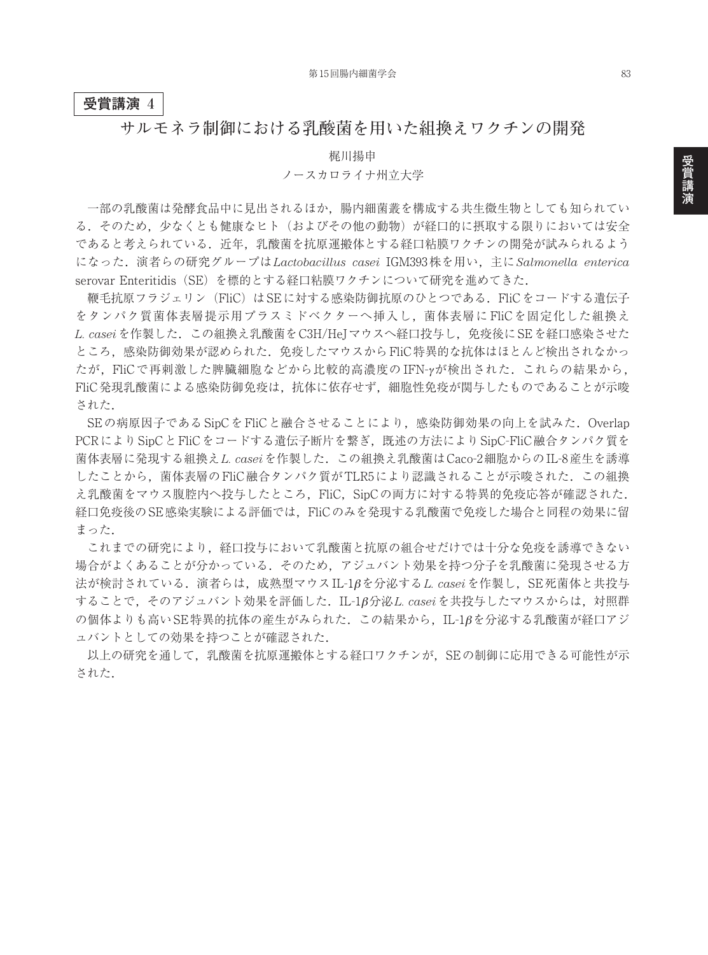## **受賞講演 4**

## **サルモネラ制御における乳酸菌を用いた組換えワクチンの開発**

梶川揚申

## ノースカロライナ州立大学

一部の乳酸菌は発酵食品中に見出されるほか,腸内細菌叢を構成する共生微生物としても知られてい る.そのため,少なくとも健康なヒト(およびその他の動物)が経口的に摂取する限りにおいては安全 であると考えられている.近年,乳酸菌を抗原運搬体とする経口粘膜ワクチンの開発が試みられるよう になった.演者らの研究グループは *Lactobacillus casei* IGM393株を用い,主に *Salmonella enterica* serovar Enteritidis(SE)を標的とする経口粘膜ワクチンについて研究を進めてきた.

鞭毛抗原フラジェリン(FliC)はSEに対する感染防御抗原のひとつである.FliCをコードする遺伝子 をタンパク質菌体表層提示用プラスミドベクターへ挿入し,菌体表層に FliCを固定化した組換え *L. casei*を作製した.この組換え乳酸菌をC3H/HeJマウスへ経口投与し,免疫後にSEを経口感染させた ところ,感染防御効果が認められた.免疫したマウスからFliC特異的な抗体はほとんど検出されなかっ たが,FliCで再刺激した脾臓細胞などから比較的高濃度のIFN-yが検出された. これらの結果から, FliC発現乳酸菌による感染防御免疫は,抗体に依存せず,細胞性免疫が関与したものであることが示唆 された.

SEの病原因子であるSipCをFliCと融合させることにより,感染防御効果の向上を試みた.Overlap PCRによりSipCとFliCをコードする遺伝子断片を繋ぎ,既述の方法によりSipC-FliC融合タンパク質を 菌体表層に発現する組換え*L. casei*を作製した.この組換え乳酸菌はCaco-2細胞からのIL-8産生を誘導 したことから、菌体表層のFliC融合タンパク質がTLR5により認識されることが示唆された. この組換 え乳酸菌をマウス腹腔内へ投与したところ、FliC, SipCの両方に対する特異的免疫応答が確認された. 経口免疫後のSE感染実験による評価では,FliCのみを発現する乳酸菌で免疫した場合と同程の効果に留 まった.

これまでの研究により,経口投与において乳酸菌と抗原の組合せだけでは十分な免疫を誘導できない 場合がよくあることが分かっている.そのため,アジュバント効果を持つ分子を乳酸菌に発現させる方 法が検討されている.演者らは,成熟型マウスIL-1βを分泌する*L. casei*を作製し,SE死菌体と共投与 することで,そのアジュバント効果を評価した.IL-1β分泌*L. casei*を共投与したマウスからは,対照群 の個体よりも高いSE特異的抗体の産生がみられた. この結果から、IL-1βを分泌する乳酸菌が経口アジ ュバントとしての効果を持つことが確認された.

以上の研究を通して,乳酸菌を抗原運搬体とする経口ワクチンが,SEの制御に応用できる可能性が示 された.